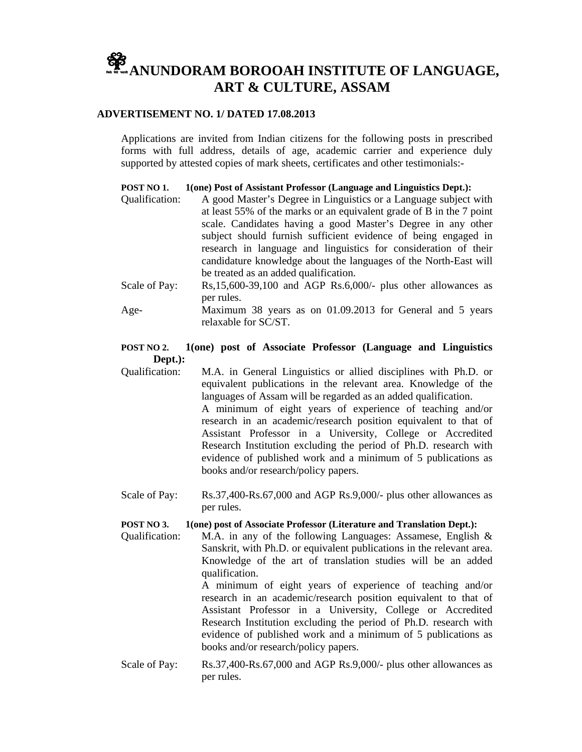# **APPLIED ANUNDORAM BOROOAH INSTITUTE OF LANGUAGE, ART & CULTURE, ASSAM**

## **ADVERTISEMENT NO. 1/ DATED 17.08.2013**

Applications are invited from Indian citizens for the following posts in prescribed forms with full address, details of age, academic carrier and experience duly supported by attested copies of mark sheets, certificates and other testimonials:-

## **POST NO 1. 1(one) Post of Assistant Professor (Language and Linguistics Dept.):**

- Qualification: A good Master's Degree in Linguistics or a Language subject with at least 55% of the marks or an equivalent grade of B in the 7 point scale. Candidates having a good Master's Degree in any other subject should furnish sufficient evidence of being engaged in research in language and linguistics for consideration of their candidature knowledge about the languages of the North-East will be treated as an added qualification.
- Scale of Pay: Rs,15,600-39,100 and AGP Rs.6,000/- plus other allowances as per rules.
- Age- Maximum 38 years as on 01.09.2013 for General and 5 years relaxable for SC/ST.

# **POST NO 2. 1(one) post of Associate Professor (Language and Linguistics Dept.):**

Qualification: M.A. in General Linguistics or allied disciplines with Ph.D. or equivalent publications in the relevant area. Knowledge of the languages of Assam will be regarded as an added qualification. A minimum of eight years of experience of teaching and/or research in an academic/research position equivalent to that of Assistant Professor in a University, College or Accredited Research Institution excluding the period of Ph.D. research with evidence of published work and a minimum of 5 publications as books and/or research/policy papers.

Scale of Pay: Rs.37,400-Rs.67,000 and AGP Rs.9,000/- plus other allowances as per rules.

#### **POST NO 3. 1(one) post of Associate Professor (Literature and Translation Dept.):**

Qualification: M.A. in any of the following Languages: Assamese, English & Sanskrit, with Ph.D. or equivalent publications in the relevant area. Knowledge of the art of translation studies will be an added qualification.

A minimum of eight years of experience of teaching and/or research in an academic/research position equivalent to that of Assistant Professor in a University, College or Accredited Research Institution excluding the period of Ph.D. research with evidence of published work and a minimum of 5 publications as books and/or research/policy papers.

Scale of Pay: Rs.37,400-Rs.67,000 and AGP Rs.9,000/- plus other allowances as per rules.